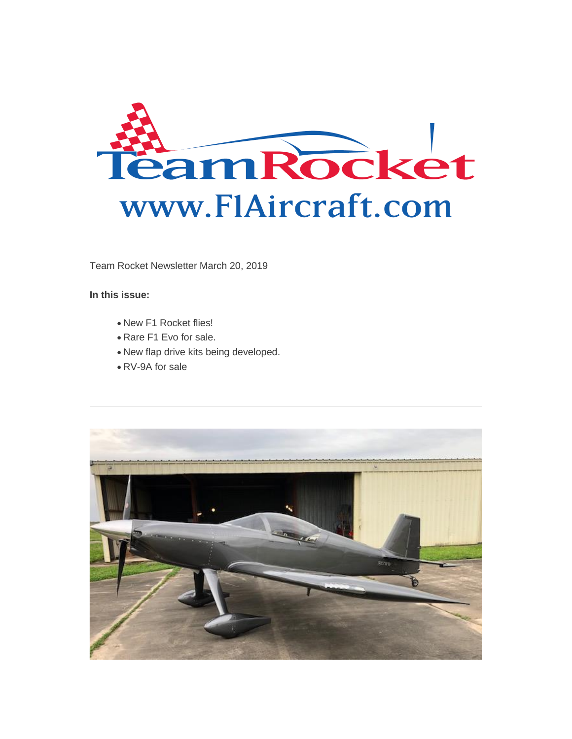

Team Rocket Newsletter March 20, 2019

## **In this issue:**

- New F1 Rocket flies!
- Rare F1 Evo for sale.
- New flap drive kits being developed.
- RV-9A for sale

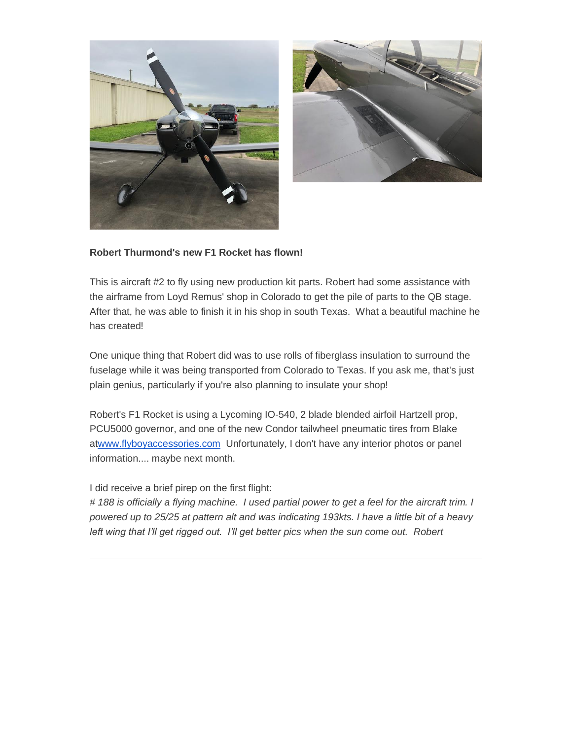



## **Robert Thurmond's new F1 Rocket has flown!**

This is aircraft #2 to fly using new production kit parts. Robert had some assistance with the airframe from Loyd Remus' shop in Colorado to get the pile of parts to the QB stage. After that, he was able to finish it in his shop in south Texas. What a beautiful machine he has created!

One unique thing that Robert did was to use rolls of fiberglass insulation to surround the fuselage while it was being transported from Colorado to Texas. If you ask me, that's just plain genius, particularly if you're also planning to insulate your shop!

Robert's F1 Rocket is using a Lycoming IO-540, 2 blade blended airfoil Hartzell prop, PCU5000 governor, and one of the new Condor tailwheel pneumatic tires from Blake a[twww.flyboyaccessories.com](http://f1aircraft.benchurl.com/c/l?u=899D8A5&e=E19B62&c=E356B&t=0&l=FFBAAD&email=YlPgN3MnyA%2FiaD5QlNKbMXzBjzlZ2TJR&seq=1) Unfortunately, I don't have any interior photos or panel information.... maybe next month.

## I did receive a brief pirep on the first flight:

*# 188 is officially a flying machine. I used partial power to get a feel for the aircraft trim. I powered up to 25/25 at pattern alt and was indicating 193kts. I have a little bit of a heavy left wing that I'll get rigged out. I'll get better pics when the sun come out. Robert*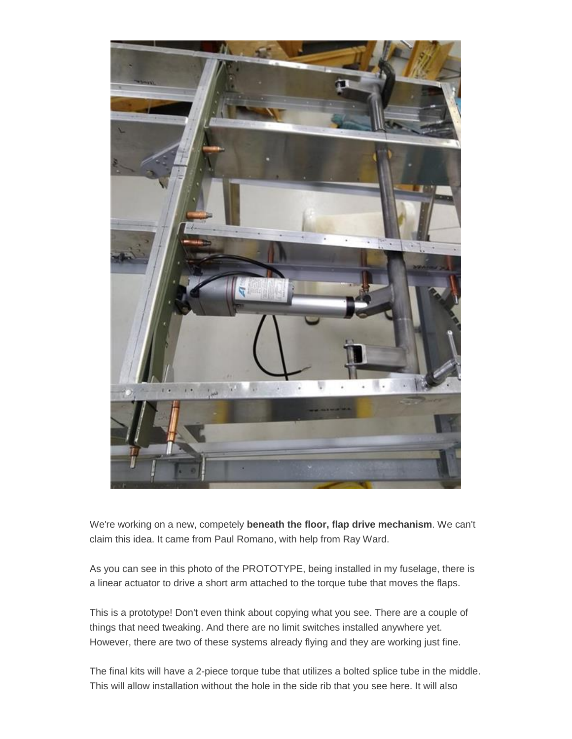

We're working on a new, competely **beneath the floor, flap drive mechanism**. We can't claim this idea. It came from Paul Romano, with help from Ray Ward.

As you can see in this photo of the PROTOTYPE, being installed in my fuselage, there is a linear actuator to drive a short arm attached to the torque tube that moves the flaps.

This is a prototype! Don't even think about copying what you see. There are a couple of things that need tweaking. And there are no limit switches installed anywhere yet. However, there are two of these systems already flying and they are working just fine.

The final kits will have a 2-piece torque tube that utilizes a bolted splice tube in the middle. This will allow installation without the hole in the side rib that you see here. It will also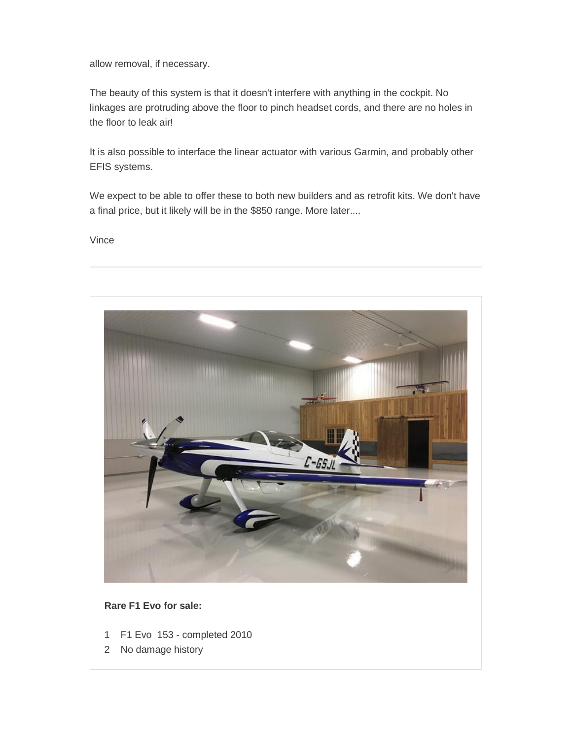allow removal, if necessary.

The beauty of this system is that it doesn't interfere with anything in the cockpit. No linkages are protruding above the floor to pinch headset cords, and there are no holes in the floor to leak air!

It is also possible to interface the linear actuator with various Garmin, and probably other EFIS systems.

We expect to be able to offer these to both new builders and as retrofit kits. We don't have a final price, but it likely will be in the \$850 range. More later....

Vince



## **Rare F1 Evo for sale:**

- 1 F1 Evo 153 completed 2010
- 2 No damage history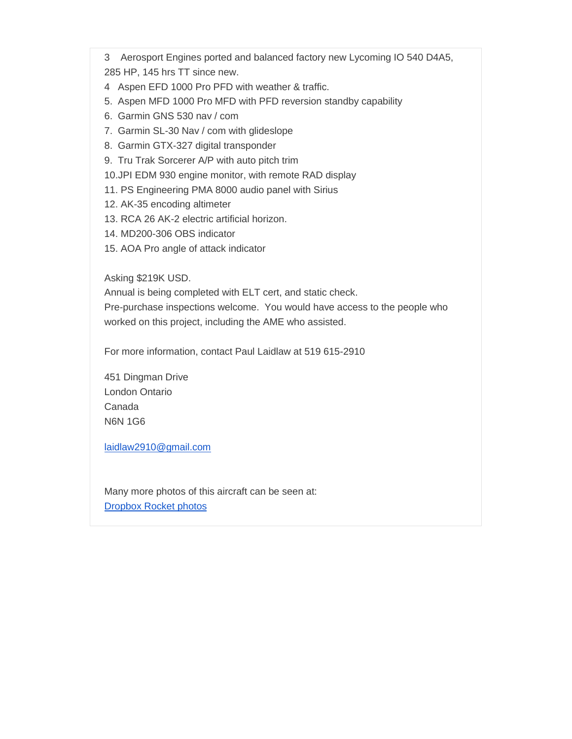3 Aerosport Engines ported and balanced factory new Lycoming IO 540 D4A5, 285 HP, 145 hrs TT since new.

- 4 Aspen EFD 1000 Pro PFD with weather & traffic.
- 5. Aspen MFD 1000 Pro MFD with PFD reversion standby capability
- 6. Garmin GNS 530 nav / com
- 7. Garmin SL-30 Nav / com with glideslope
- 8. Garmin GTX-327 digital transponder
- 9. Tru Trak Sorcerer A/P with auto pitch trim
- 10.JPI EDM 930 engine monitor, with remote RAD display
- 11. PS Engineering PMA 8000 audio panel with Sirius
- 12. AK-35 encoding altimeter
- 13. RCA 26 AK-2 electric artificial horizon.
- 14. MD200-306 OBS indicator
- 15. AOA Pro angle of attack indicator

Asking \$219K USD.

Annual is being completed with ELT cert, and static check.

Pre-purchase inspections welcome. You would have access to the people who worked on this project, including the AME who assisted.

For more information, contact Paul Laidlaw at 519 615-2910

451 Dingman Drive London Ontario Canada N6N 1G6

[laidlaw2910@gmail.com](mailto:laidlaw2910@gmail.com)

Many more photos of this aircraft can be seen at: [Dropbox Rocket photos](http://f1aircraft.benchurl.com/c/l?u=899DFBB&e=E19B62&c=E356B&t=0&l=FFBAAD&email=YlPgN3MnyA%2FiaD5QlNKbMXzBjzlZ2TJR&seq=2)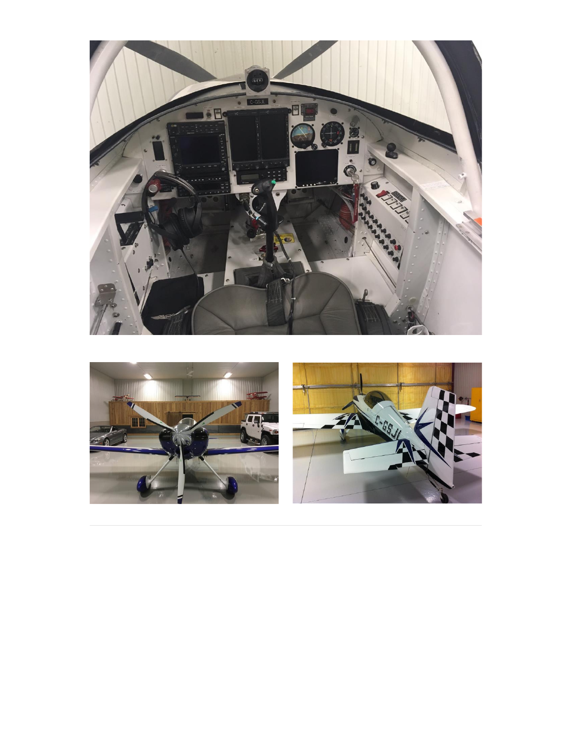

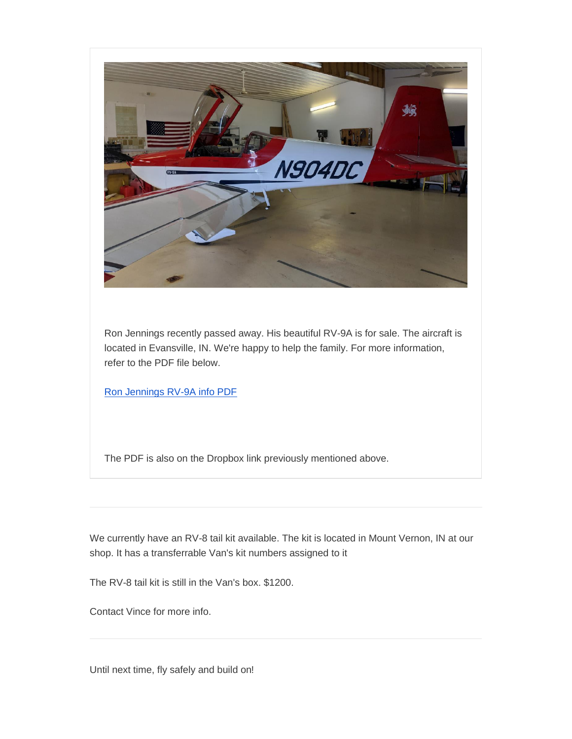

Ron Jennings recently passed away. His beautiful RV-9A is for sale. The aircraft is located in Evansville, IN. We're happy to help the family. For more information, refer to the PDF file below.

[Ron Jennings RV-9A info PDF](http://f1aircraft.benchurl.com/c/l?u=899E048&e=E19B62&c=E356B&t=0&l=FFBAAD&email=YlPgN3MnyA%2FiaD5QlNKbMXzBjzlZ2TJR&seq=2)

The PDF is also on the Dropbox link previously mentioned above.

We currently have an RV-8 tail kit available. The kit is located in Mount Vernon, IN at our shop. It has a transferrable Van's kit numbers assigned to it

The RV-8 tail kit is still in the Van's box. \$1200.

Contact Vince for more info.

Until next time, fly safely and build on!